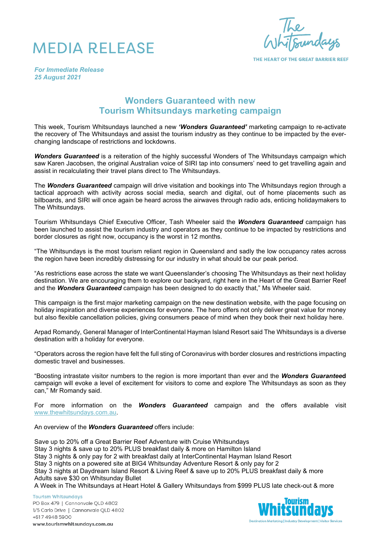



THE HEART OF THE GREAT BARRIER REEF

*For Immediate Release 25 August 2021*

## **Wonders Guaranteed with new Tourism Whitsundays marketing campaign**

This week, Tourism Whitsundays launched a new *'Wonders Guaranteed'* marketing campaign to re-activate the recovery of The Whitsundays and assist the tourism industry as they continue to be impacted by the everchanging landscape of restrictions and lockdowns.

*Wonders Guaranteed* is a reiteration of the highly successful Wonders of The Whitsundays campaign which saw Karen Jacobsen, the original Australian voice of SIRI tap into consumers' need to get travelling again and assist in recalculating their travel plans direct to The Whitsundays.

The *Wonders Guaranteed* campaign will drive visitation and bookings into The Whitsundays region through a tactical approach with activity across social media, search and digital, out of home placements such as billboards, and SIRI will once again be heard across the airwaves through radio ads, enticing holidaymakers to The Whitsundays.

Tourism Whitsundays Chief Executive Officer, Tash Wheeler said the *Wonders Guaranteed* campaign has been launched to assist the tourism industry and operators as they continue to be impacted by restrictions and border closures as right now, occupancy is the worst in 12 months.

"The Whitsundays is the most tourism reliant region in Queensland and sadly the low occupancy rates across the region have been incredibly distressing for our industry in what should be our peak period.

"As restrictions ease across the state we want Queenslander's choosing The Whitsundays as their next holiday destination. We are encouraging them to explore our backyard, right here in the Heart of the Great Barrier Reef and the *Wonders Guaranteed* campaign has been designed to do exactly that," Ms Wheeler said.

This campaign is the first major marketing campaign on the new destination website, with the page focusing on holiday inspiration and diverse experiences for everyone. The hero offers not only deliver great value for money but also flexible cancellation policies, giving consumers peace of mind when they book their next holiday here.

Arpad Romandy, General Manager of InterContinental Hayman Island Resort said The Whitsundays is a diverse destination with a holiday for everyone.

"Operators across the region have felt the full sting of Coronavirus with border closures and restrictions impacting domestic travel and businesses.

"Boosting intrastate visitor numbers to the region is more important than ever and the *Wonders Guarantee***d** campaign will evoke a level of excitement for visitors to come and explore The Whitsundays as soon as they can," Mr Romandy said.

For more information on the *Wonders Guaranteed* campaign and the offers available visit [www.thewhitsundays.com.au.](http://www.thewhitsundays.com.au/)

An overview of the *Wonders Guaranteed* offers include:

Save up to 20% off a Great Barrier Reef Adventure with Cruise Whitsundays

Stay 3 nights & save up to 20% PLUS breakfast daily & more on Hamilton Island

Stay 3 nights & only pay for 2 with breakfast daily at InterContinental Hayman Island Resort

Stay 3 nights on a powered site at BIG4 Whitsunday Adventure Resort & only pay for 2

Stay 3 nights at Daydream Island Resort & Living Reef & save up to 20% PLUS breakfast daily & more Adults save \$30 on Whitsunday Bullet

A Week in The Whitsundays at Heart Hotel & Gallery Whitsundays from \$999 PLUS late check-out & more

**Tourism Whitsundays** PO Box 479 | Cannonvale QLD 4802 1/5 Carlo Drive | Cannonvale QLD 4802 +617 4948 5900 www.tourismwhitsundays.com.au